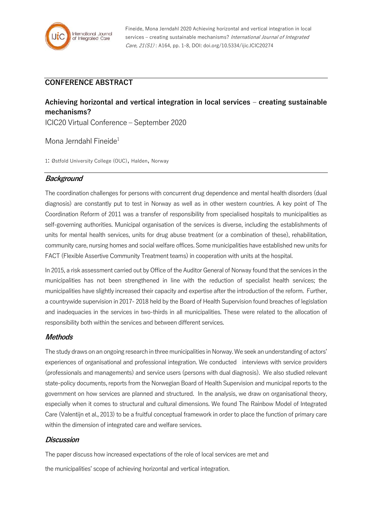

Fineide, Mona Jerndahl 2020 Achieving horizontal and vertical integration in local services – creating sustainable mechanisms? International Journal of Integrated Care, 21(S1) : A164, pp. 1-8, DOI: doi.org/10.5334/ijic.ICIC20274

## **CONFERENCE ABSTRACT**

# **Achieving horizontal and vertical integration in local services – creating sustainable mechanisms?**

ICIC20 Virtual Conference – September 2020

Mona Jerndahl Fineide<sup>1</sup>

1: Østfold University College (OUC), Halden, Norway

## **Background**

The coordination challenges for persons with concurrent drug dependence and mental health disorders (dual diagnosis) are constantly put to test in Norway as well as in other western countries. A key point of The Coordination Reform of 2011 was a transfer of responsibility from specialised hospitals to municipalities as self-governing authorities. Municipal organisation of the services is diverse, including the establishments of units for mental health services, units for drug abuse treatment (or a combination of these), rehabilitation, community care, nursing homes and social welfare offices. Some municipalities have established new units for FACT (Flexible Assertive Community Treatment teams) in cooperation with units at the hospital.

In 2015, a risk assessment carried out by Office of the Auditor General of Norway found that the services in the municipalities has not been strengthened in line with the reduction of specialist health services; the municipalities have slightly increased their capacity and expertise after the introduction of the reform. Further, a countrywide supervision in 2017- 2018 held by the Board of Health Supervision found breaches of legislation and inadequacies in the services in two-thirds in all municipalities. These were related to the allocation of responsibility both within the services and between different services.

#### **Methods**

The study draws on an ongoing research in three municipalities in Norway. We seek an understanding of actors' experiences of organisational and professional integration. We conducted interviews with service providers (professionals and managements) and service users (persons with dual diagnosis). We also studied relevant state-policy documents, reports from the Norwegian Board of Health Supervision and municipal reports to the government on how services are planned and structured. In the analysis, we draw on organisational theory, especially when it comes to structural and cultural dimensions. We found The Rainbow Model of Integrated Care (Valentijn et al., 2013) to be a fruitful conceptual framework in order to place the function of primary care within the dimension of integrated care and welfare services.

#### **Discussion**

The paper discuss how increased expectations of the role of local services are met and

the municipalities' scope of achieving horizontal and vertical integration.